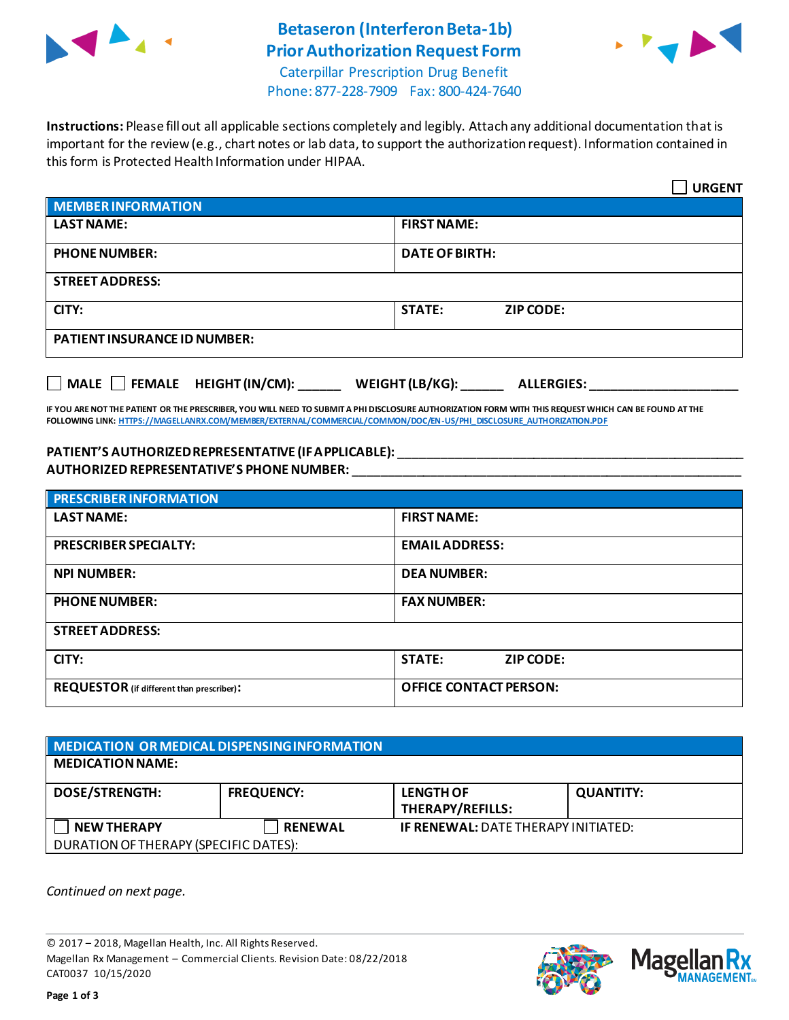

# **Betaseron (Interferon Beta-1b) Prior Authorization Request Form**



Caterpillar Prescription Drug Benefit Phone: 877-228-7909 Fax: 800-424-7640

**Instructions:** Please fill out all applicable sections completely and legibly. Attach any additional documentation that is important for the review (e.g., chart notes or lab data, to support the authorization request). Information contained in this form is Protected Health Information under HIPAA.

|                                                                                   | <b>URGENT</b>                     |  |  |
|-----------------------------------------------------------------------------------|-----------------------------------|--|--|
| <b>MEMBER INFORMATION</b>                                                         |                                   |  |  |
| <b>LAST NAME:</b>                                                                 | <b>FIRST NAME:</b>                |  |  |
| <b>PHONE NUMBER:</b>                                                              | <b>DATE OF BIRTH:</b>             |  |  |
| <b>STREET ADDRESS:</b>                                                            |                                   |  |  |
| CITY:                                                                             | <b>STATE:</b><br><b>ZIP CODE:</b> |  |  |
| <b>PATIENT INSURANCE ID NUMBER:</b>                                               |                                   |  |  |
| $\Box$ MALE $\Box$ FEMALE HEIGHT (IN/CM):<br>WEIGHT (LB/KG):<br><b>ALLERGIES:</b> |                                   |  |  |

**IF YOU ARE NOT THE PATIENT OR THE PRESCRIBER, YOU WILL NEED TO SUBMIT A PHI DISCLOSURE AUTHORIZATION FORM WITH THIS REQUEST WHICH CAN BE FOUND AT THE FOLLOWING LINK[: HTTPS://MAGELLANRX.COM/MEMBER/EXTERNAL/COMMERCIAL/COMMON/DOC/EN-US/PHI\\_DISCLOSURE\\_AUTHORIZATION.PDF](https://magellanrx.com/member/external/commercial/common/doc/en-us/PHI_Disclosure_Authorization.pdf)**

#### **PATIENT'S AUTHORIZED REPRESENTATIVE (IF APPLICABLE):** \_\_\_\_\_\_\_\_\_\_\_\_\_\_\_\_\_\_\_\_\_\_\_\_\_\_\_\_\_\_\_\_\_\_\_\_\_\_\_\_\_\_\_\_\_\_\_\_\_ **AUTHORIZED REPRESENTATIVE'S PHONE NUMBER:** \_\_\_\_\_\_\_\_\_\_\_\_\_\_\_\_\_\_\_\_\_\_\_\_\_\_\_\_\_\_\_\_\_\_\_\_\_\_\_\_\_\_\_\_\_\_\_\_\_\_\_\_\_\_\_

| <b>PRESCRIBER INFORMATION</b>             |                               |  |
|-------------------------------------------|-------------------------------|--|
| <b>LAST NAME:</b>                         | <b>FIRST NAME:</b>            |  |
| <b>PRESCRIBER SPECIALTY:</b>              | <b>EMAIL ADDRESS:</b>         |  |
| <b>NPI NUMBER:</b>                        | <b>DEA NUMBER:</b>            |  |
| <b>PHONE NUMBER:</b>                      | <b>FAX NUMBER:</b>            |  |
| <b>STREET ADDRESS:</b>                    |                               |  |
| CITY:                                     | <b>STATE:</b><br>ZIP CODE:    |  |
| REQUESTOR (if different than prescriber): | <b>OFFICE CONTACT PERSON:</b> |  |

| MEDICATION OR MEDICAL DISPENSING INFORMATION |                   |                                            |                  |  |  |
|----------------------------------------------|-------------------|--------------------------------------------|------------------|--|--|
| <b>MEDICATION NAME:</b>                      |                   |                                            |                  |  |  |
| <b>DOSE/STRENGTH:</b>                        | <b>FREQUENCY:</b> | <b>LENGTH OF</b><br>THERAPY/REFILLS:       | <b>QUANTITY:</b> |  |  |
| <b>NEW THERAPY</b>                           | <b>RENEWAL</b>    | <b>IF RENEWAL: DATE THERAPY INITIATED:</b> |                  |  |  |
| DURATION OF THERAPY (SPECIFIC DATES):        |                   |                                            |                  |  |  |

*Continued on next page.*

© 2017 – 2018, Magellan Health, Inc. All Rights Reserved. Magellan Rx Management – Commercial Clients. Revision Date: 08/22/2018 CAT0037 10/15/2020



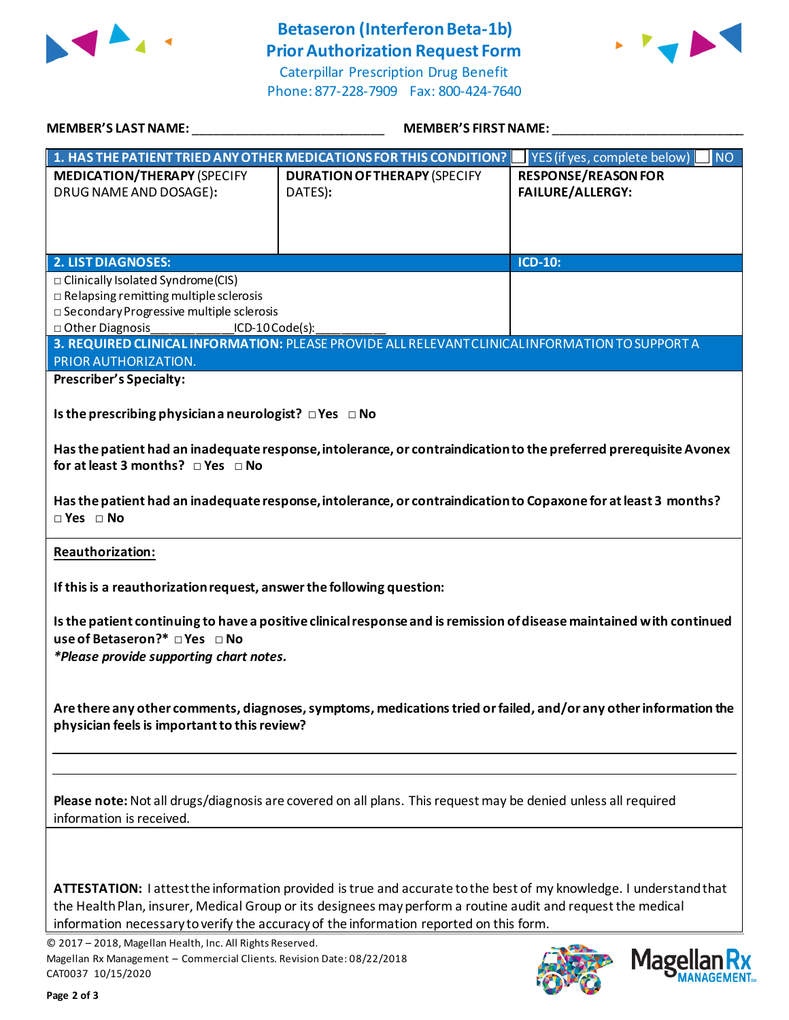

## **Betaseron (Interferon Beta-1b) Prior Authorization Request Form**

Caterpillar Prescription Drug Benefit Phone: 877-228-7909 Fax: 800-424-7640



| MEMBER'S LAST NAME:                                                                                                                                                                                                                                                          | <b>MEMBER'S FIRST NAME:</b>                                                                                                                                                                                                                                                                                                                         |                                                                                                                  |
|------------------------------------------------------------------------------------------------------------------------------------------------------------------------------------------------------------------------------------------------------------------------------|-----------------------------------------------------------------------------------------------------------------------------------------------------------------------------------------------------------------------------------------------------------------------------------------------------------------------------------------------------|------------------------------------------------------------------------------------------------------------------|
|                                                                                                                                                                                                                                                                              | 1. HAS THE PATIENT TRIED ANY OTHER MEDICATIONS FOR THIS CONDITION?                                                                                                                                                                                                                                                                                  | <b>NO</b><br>YES (if yes, complete below)                                                                        |
| <b>MEDICATION/THERAPY (SPECIFY</b><br>DRUG NAME AND DOSAGE):                                                                                                                                                                                                                 | <b>DURATION OF THERAPY (SPECIFY</b><br>DATES):                                                                                                                                                                                                                                                                                                      | <b>RESPONSE/REASON FOR</b><br><b>FAILURE/ALLERGY:</b>                                                            |
|                                                                                                                                                                                                                                                                              |                                                                                                                                                                                                                                                                                                                                                     |                                                                                                                  |
| 2. LIST DIAGNOSES:<br>□ Clinically Isolated Syndrome(CIS)<br>$\Box$ Relapsing remitting multiple sclerosis<br>□ Secondary Progressive multiple sclerosis<br>□ Other Diagnosis<br>$ICD-10Code(s):$                                                                            |                                                                                                                                                                                                                                                                                                                                                     | $ICD-10$ :                                                                                                       |
| PRIOR AUTHORIZATION.                                                                                                                                                                                                                                                         | 3. REQUIRED CLINICAL INFORMATION: PLEASE PROVIDE ALL RELEVANT CLINICAL INFORMATION TO SUPPORT A                                                                                                                                                                                                                                                     |                                                                                                                  |
| <b>Prescriber's Specialty:</b><br>Is the prescribing physician a neurologist? $\Box$ Yes $\Box$ No<br>for at least 3 months? $\Box$ Yes $\Box$ No<br>$\Box$ Yes $\Box$ No<br><b>Reauthorization:</b><br>If this is a reauthorization request, answer the following question: | Has the patient had an inadequate response, intolerance, or contraindication to the preferred prerequisite Avonex<br>Has the patient had an inadequate response, intolerance, or contraindication to Copaxone for at least 3 months?                                                                                                                |                                                                                                                  |
| use of Betaseron?* □ Yes □ No<br>*Please provide supporting chart notes.<br>physician feels is important to this review?                                                                                                                                                     | Is the patient continuing to have a positive clinical response and is remission of disease maintained with continued                                                                                                                                                                                                                                | Are there any other comments, diagnoses, symptoms, medications tried or failed, and/or any other information the |
| information is received.                                                                                                                                                                                                                                                     | Please note: Not all drugs/diagnosis are covered on all plans. This request may be denied unless all required<br>ATTESTATION: I attest the information provided is true and accurate to the best of my knowledge. I understand that<br>the Health Plan, insurer, Medical Group or its designees may perform a routine audit and request the medical |                                                                                                                  |
| © 2017 - 2018, Magellan Health, Inc. All Rights Reserved.<br>Magellan Rx Management - Commercial Clients. Revision Date: 08/22/2018<br>CAT0037 10/15/2020                                                                                                                    | information necessary to verify the accuracy of the information reported on this form.                                                                                                                                                                                                                                                              | Magel                                                                                                            |

re